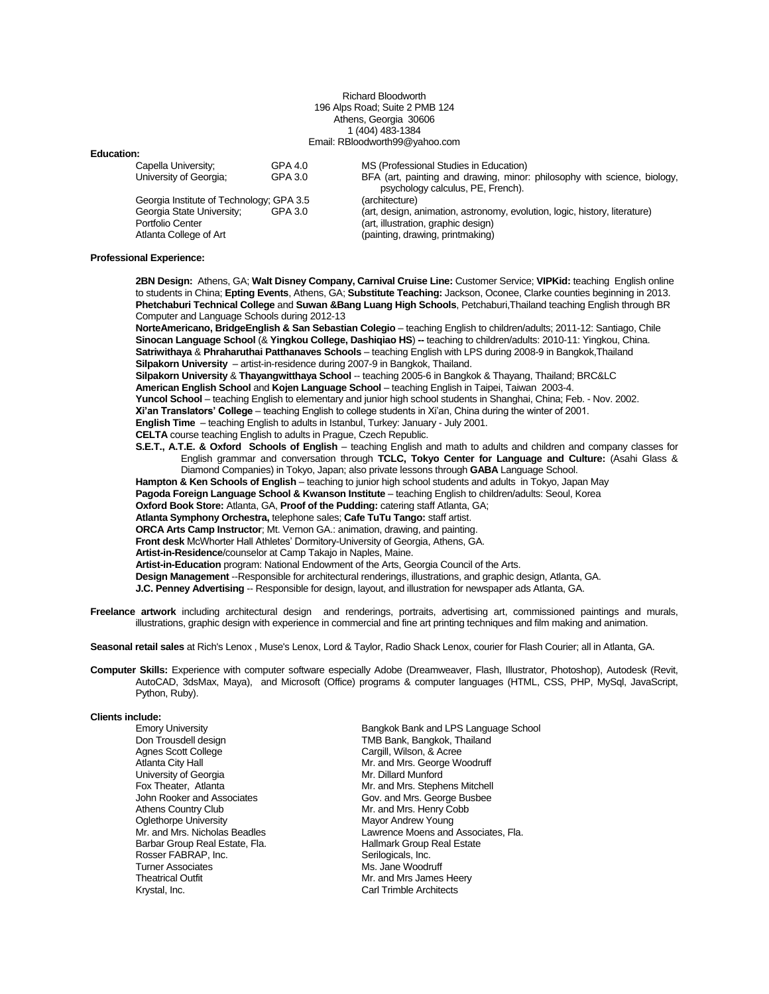### Richard Bloodworth 196 Alps Road; Suite 2 PMB 124 Athens, Georgia 30606 1 (404) 483-1384 Email: RBloodworth99@yahoo.com

## **Education:**

| Capella University;                      | GPA 4.0 | MS (Professional Studies in Education)                                     |
|------------------------------------------|---------|----------------------------------------------------------------------------|
| University of Georgia;                   | GPA 3.0 | BFA (art, painting and drawing, minor: philosophy with science, biology,   |
|                                          |         | psychology calculus, PE, French).                                          |
| Georgia Institute of Technology; GPA 3.5 |         | (architecture)                                                             |
| Georgia State University;                | GPA 3.0 | (art, design, animation, astronomy, evolution, logic, history, literature) |
| Portfolio Center                         |         | (art, illustration, graphic design)                                        |
| Atlanta College of Art                   |         | (painting, drawing, printmaking)                                           |

#### **Professional Experience:**

**2BN Design:** Athens, GA; **Walt Disney Company, Carnival Cruise Line:** Customer Service; **VIPKid:** teaching English online to students in China; **Epting Events**, Athens, GA; **Substitute Teaching:** Jackson, Oconee, Clarke counties beginning in 2013. **Phetchaburi Technical College** and **Suwan &Bang Luang High Schools**, Petchaburi,Thailand teaching English through BR Computer and Language Schools during 2012-13

**NorteAmericano, BridgeEnglish & San Sebastian Colegio** – teaching English to children/adults; 2011-12: Santiago, Chile **Sinocan Language School** (& **Yingkou College, Dashiqiao HS**) **--** teaching to children/adults: 2010-11: Yingkou, China. **Satriwithaya** & **Phraharuthai Patthanaves Schools** – teaching English with LPS during 2008-9 in Bangkok,Thailand **Silpakorn University** – artist-in-residence during 2007-9 in Bangkok, Thailand.

**Silpakorn University** & **Thayangwitthaya School** -- teaching 2005-6 in Bangkok & Thayang, Thailand; BRC&LC

**American English School** and **Kojen Language School** – teaching English in Taipei, Taiwan 2003-4.

**Yuncol School** – teaching English to elementary and junior high school students in Shanghai, China; Feb. - Nov. 2002.

**Xi'an Translators' College** – teaching English to college students in Xi'an, China during the winter of 2001.

**English Time** – teaching English to adults in Istanbul, Turkey: January - July 2001.

**CELTA** course teaching English to adults in Prague, Czech Republic.

**S.E.T., A.T.E. & Oxford Schools of English** – teaching English and math to adults and children and company classes for English grammar and conversation through **TCLC, Tokyo Center for Language and Culture:** (Asahi Glass & Diamond Companies) in Tokyo, Japan; also private lessons through **GABA** Language School.

**Hampton & Ken Schools of English** – teaching to junior high school students and adults in Tokyo, Japan May

**Pagoda Foreign Language School & Kwanson Institute** - teaching English to children/adults: Seoul, Korea

**Oxford Book Store:** Atlanta, GA, **Proof of the Pudding:** catering staff Atlanta, GA;

**Atlanta Symphony Orchestra,** telephone sales; **Cafe TuTu Tango:** staff artist.

**ORCA Arts Camp Instructor**; Mt. Vernon GA.: animation, drawing, and painting.

**Front desk** McWhorter Hall Athletes' Dormitory-University of Georgia, Athens, GA.

**Artist-in-Residence**/counselor at Camp Takajo in Naples, Maine.

**Artist-in-Education** program: National Endowment of the Arts, Georgia Council of the Arts.

**Design Management** --Responsible for architectural renderings, illustrations, and graphic design, Atlanta, GA.

**J.C. Penney Advertising** -- Responsible for design, layout, and illustration for newspaper ads Atlanta, GA.

**Freelance artwork** including architectural design and renderings, portraits, advertising art, commissioned paintings and murals, illustrations, graphic design with experience in commercial and fine art printing techniques and film making and animation.

**Seasonal retail sales** at Rich's Lenox , Muse's Lenox, Lord & Taylor, Radio Shack Lenox, courier for Flash Courier; all in Atlanta, GA.

**Computer Skills:** Experience with computer software especially Adobe (Dreamweaver, Flash, Illustrator, Photoshop), Autodesk (Revit, AutoCAD, 3dsMax, Maya), and Microsoft (Office) programs & computer languages (HTML, CSS, PHP, MySql, JavaScript, Python, Ruby).

#### **Clients include:**

Agnes Scott College Cargill, Wilson, & Acree University of Georgia<br>Fox Theater. Atlanta Oglethorpe University<br>Mr. and Mrs. Nicholas Beadles Barbar Group Real Estate, Fla. **Hallmark Group Hallmark Group** Rosser FABRAP, Inc. Rosser FABRAP, Inc.<br>Turner Associates Turner Associates and the Music Music Jane Woodruff<br>Theatrical Outfit Music Community Music Music Music James Theatrical Outfit Mr. and Mrs James Heery<br>
Mr. and Mrs James Heery<br>
Carl Trimble Architects

Emory University **Emory University** Bangkok Bank and LPS Language School Don Trousdell design and LPS Language School Don Trousdell design Don Trousdell design entitled and the TMB Bank, Bangkok, Thailand<br>Agnes Scott College entitled and the Cargill, Wilson, & Acree Mr. and Mrs. George Woodruff<br>Mr. Dillard Munford Mr. and Mrs. Stephens Mitchell John Rooker and Associates Gov. and Mrs. George Busbee<br>Athens Country Club Athens County Club Mr. and Mrs. Henry Cobb<br>Mayor Andrew Young Lawrence Moens and Associates, Fla.<br>Hallmark Group Real Estate Carl Trimble Architects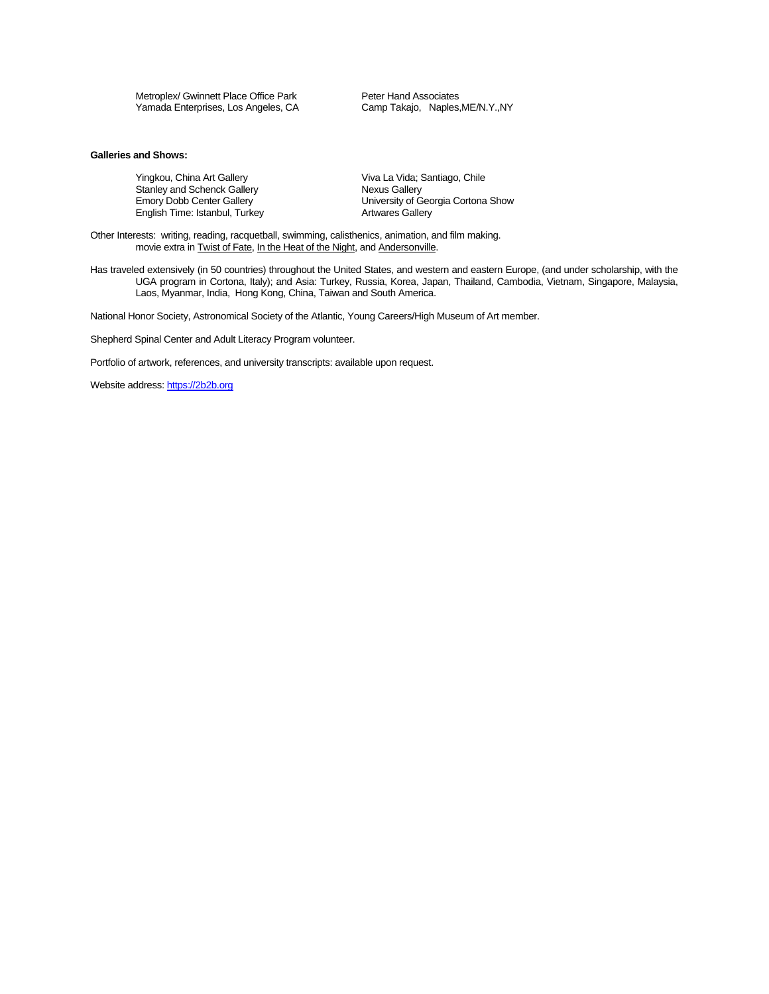Metroplex/ Gwinnett Place Office Park Peter Hand Associates<br>
Yamada Enterprises, Los Angeles, CA Camp Takajo, Naples, ME/N.Y., NY Yamada Enterprises, Los Angeles, CA

# **Galleries and Shows:**

Yingkou, China Art Gallery Viva La Vida; Santiago, Chile<br>
Stanley and Schenck Gallery Viral Chinago, Nexus Gallery Stanley and Schenck Gallery<br>Emory Dobb Center Gallery English Time: Istanbul, Turkey

University of Georgia Cortona Show<br>Artwares Gallery

Other Interests: writing, reading, racquetball, swimming, calisthenics, animation, and film making. movie extra in Twist of Fate, In the Heat of the Night, and Andersonville.

Has traveled extensively (in 50 countries) throughout the United States, and western and eastern Europe, (and under scholarship, with the UGA program in Cortona, Italy); and Asia: Turkey, Russia, Korea, Japan, Thailand, Cambodia, Vietnam, Singapore, Malaysia, Laos, Myanmar, India, Hong Kong, China, Taiwan and South America.

National Honor Society, Astronomical Society of the Atlantic, Young Careers/High Museum of Art member.

Shepherd Spinal Center and Adult Literacy Program volunteer.

Portfolio of artwork, references, and university transcripts: available upon request.

Website address[: https://2b2b.org](https://2b2b.org/)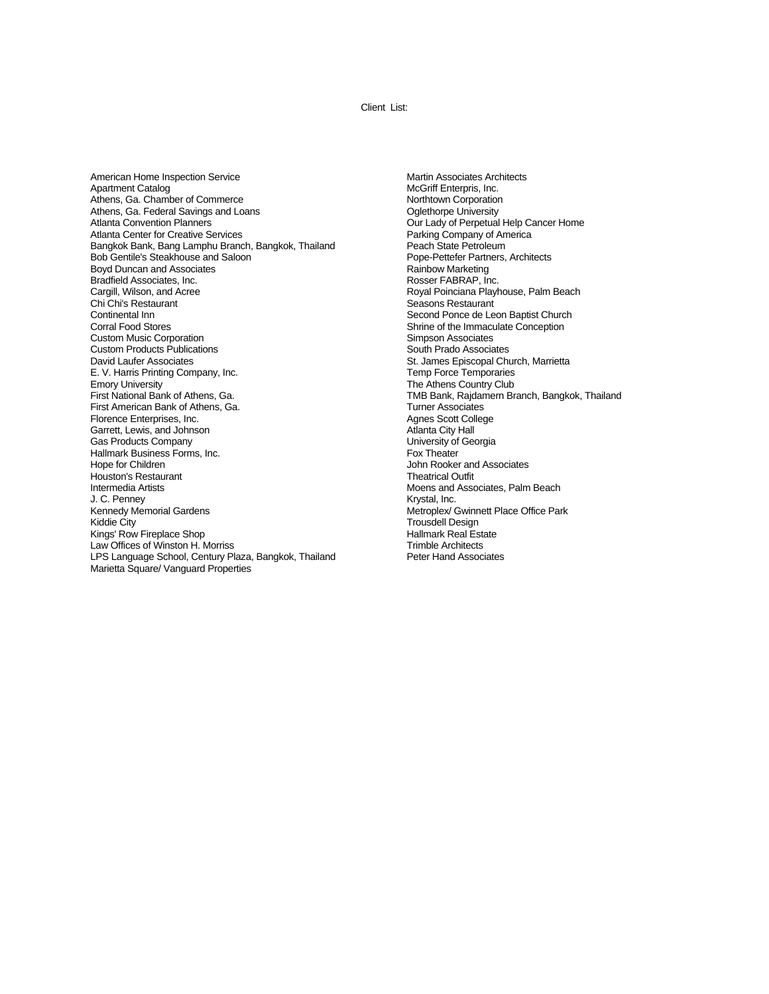Client List:

American Home Inspection Service Apartment Catalog Athens, Ga. Chamber of Commerce Athens, Ga. Federal Savings and Loans Atlanta Convention Planners Atlanta Center for Creative Services Bangkok Bank, Bang Lamphu Branch, Bangkok, Thailand Bob Gentile's Steakhouse and Saloon Boyd Duncan and Associates Bradfield Associates, Inc. Cargill, Wilson, and Acree Chi Chi's Restaurant Continental Inn Corral Food Stores Custom Music Corporation Custom Products Publications David Laufer Associates E. V. Harris Printing Company, Inc. Emory University First National Bank of Athens, Ga. First American Bank of Athens, Ga. Florence Enterprises, Inc. Garrett, Lewis, and Johnson Gas Products Company Hallmark Business Forms, Inc. Hope for Children Houston's Restaurant Intermedia Artists J. C. Penney Kennedy Memorial Gardens Kiddie City Kings' Row Fireplace Shop Law Offices of Winston H. Morriss LPS Language School, Century Plaza, Bangkok, Thailand Marietta Square/ Vanguard Properties

Martin Associates Architects McGriff Enterpris, Inc. Northtown Corporation Oglethorpe University Our Lady of Perpetual Help Cancer Home Parking Company of America Peach State Petroleum Pope-Pettefer Partners, Architects Rainbow Marketing Rosser FABRAP, Inc. Royal Poinciana Playhouse, Palm Beach Seasons Restaurant Second Ponce de Leon Baptist Church Shrine of the Immaculate Conception Simpson Associates South Prado Associates St. James Episcopal Church, Marrietta Temp Force Temporaries The Athens Country Club TMB Bank, Rajdamern Branch, Bangkok, Thailand Turner Associates Agnes Scott College Atlanta City Hall University of Georgia Fox Theater John Rooker and Associates Theatrical Outfit Moens and Associates, Palm Beach Krystal, Inc. Metroplex/ Gwinnett Place Office Park Trousdell Design Hallmark Real Estate Trimble Architects Peter Hand Associates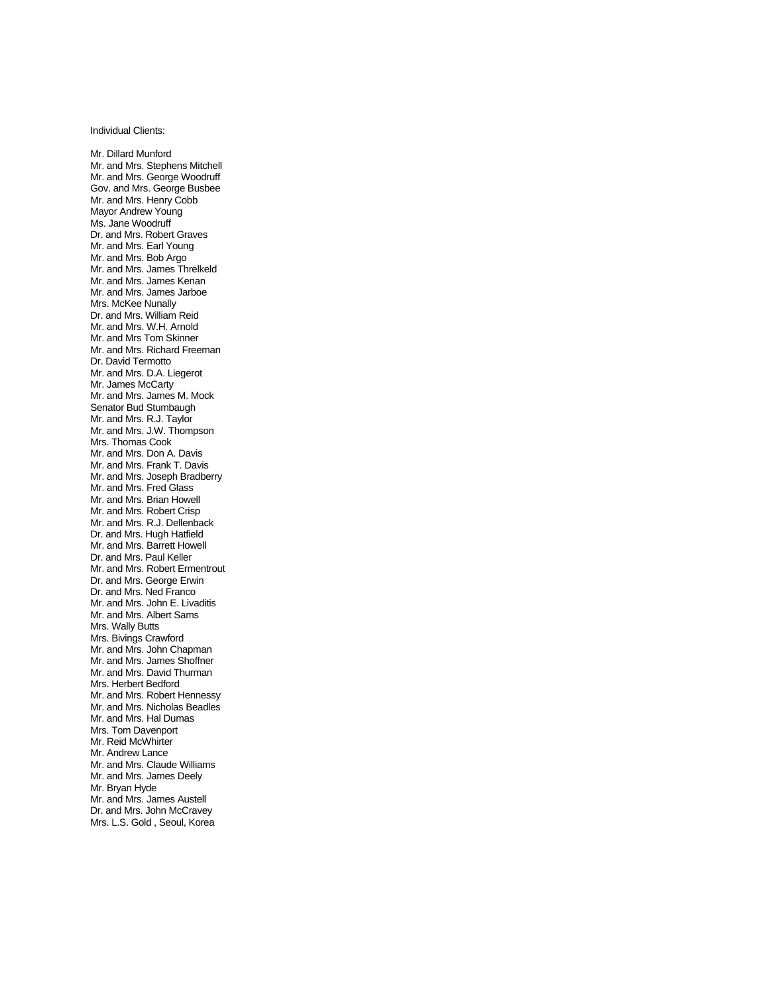Individual Clients:

Mr. Dillard Munford Mr. and Mrs. Stephens Mitchell Mr. and Mrs. George Woodruff Gov. and Mrs. George Busbee Mr. and Mrs. Henry Cobb Mayor Andrew Young Ms. Jane Woodruff Dr. and Mrs. Robert Graves Mr. and Mrs. Earl Young Mr. and Mrs. Bob Argo Mr. and Mrs. James Threlkeld Mr. and Mrs. James Kenan Mr. and Mrs. James Jarboe Mrs. McKee Nunally Dr. and Mrs. William Reid Mr. and Mrs. W.H. Arnold Mr. and Mrs Tom Skinner Mr. and Mrs. Richard Freeman Dr. David Termotto Mr. and Mrs. D.A. Liegerot Mr. James McCarty Mr. and Mrs. James M. Mock Senator Bud Stumbaugh Mr. and Mrs. R.J. Taylor Mr. and Mrs. J.W. Thompson Mrs. Thomas Cook Mr. and Mrs. Don A. Davis Mr. and Mrs. Frank T. Davis Mr. and Mrs. Joseph Bradberry Mr. and Mrs. Fred Glass Mr. and Mrs. Brian Howell Mr. and Mrs. Robert Crisp Mr. and Mrs. R.J. Dellenback Dr. and Mrs. Hugh Hatfield Mr. and Mrs. Barrett Howell Dr. and Mrs. Paul Keller Mr. and Mrs. Robert Ermentrout Dr. and Mrs. George Erwin Dr. and Mrs. Ned Franco Mr. and Mrs. John E. Livaditis Mr. and Mrs. Albert Sams Mrs. Wally Butts Mrs. Bivings Crawford Mr. and Mrs. John Chapman Mr. and Mrs. James Shoffner Mr. and Mrs. David Thurman Mrs. Herbert Bedford Mr. and Mrs. Robert Hennessy Mr. and Mrs. Nicholas Beadles Mr. and Mrs. Hal Dumas Mrs. Tom Davenport Mr. Reid McWhirter Mr. Andrew Lance Mr. and Mrs. Claude Williams Mr. and Mrs. James Deely Mr. Bryan Hyde Mr. and Mrs. James Austell Dr. and Mrs. John McCravey Mrs. L.S. Gold , Seoul, Korea